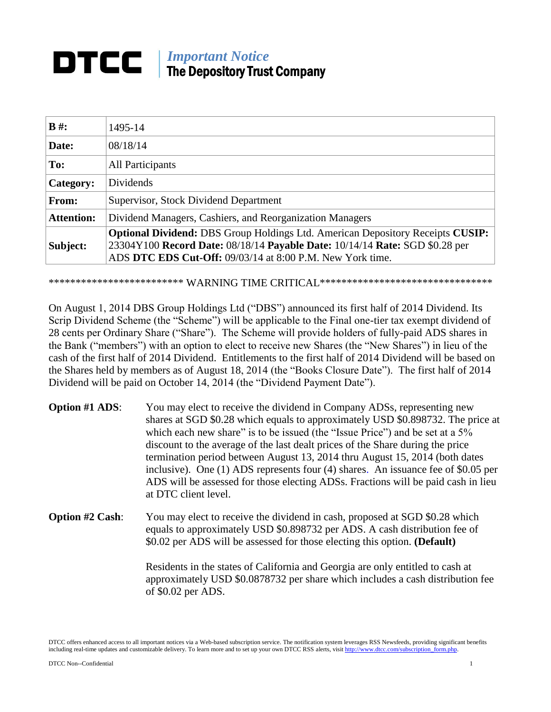### *Important Notice* DTCC I The Depository Trust Company

| $B \#$ :          | 1495-14                                                                                                                                                                                                                           |
|-------------------|-----------------------------------------------------------------------------------------------------------------------------------------------------------------------------------------------------------------------------------|
| Date:             | 08/18/14                                                                                                                                                                                                                          |
| To:               | All Participants                                                                                                                                                                                                                  |
| Category:         | Dividends                                                                                                                                                                                                                         |
| From:             | Supervisor, Stock Dividend Department                                                                                                                                                                                             |
| <b>Attention:</b> | Dividend Managers, Cashiers, and Reorganization Managers                                                                                                                                                                          |
| Subject:          | <b>Optional Dividend:</b> DBS Group Holdings Ltd. American Depository Receipts CUSIP:<br>23304Y100 Record Date: 08/18/14 Payable Date: 10/14/14 Rate: SGD \$0.28 per<br>ADS DTC EDS Cut-Off: 09/03/14 at 8:00 P.M. New York time. |

\*\*\*\*\*\*\*\*\*\*\*\*\*\*\*\*\*\*\*\*\*\*\*\*  $\bf{WARNING\ TIME\ CRITICAL}$ \*\*\*\*\*\*\*\*\*\*\*\*\*\*\*\*\*\*\*\*\*\*\*\*\*\*\*\*\*\*\*\*\*

On August 1, 2014 DBS Group Holdings Ltd ("DBS") announced its first half of 2014 Dividend. Its Scrip Dividend Scheme (the "Scheme") will be applicable to the Final one-tier tax exempt dividend of 28 cents per Ordinary Share ("Share"). The Scheme will provide holders of fully-paid ADS shares in the Bank ("members") with an option to elect to receive new Shares (the "New Shares") in lieu of the cash of the first half of 2014 Dividend. Entitlements to the first half of 2014 Dividend will be based on the Shares held by members as of August 18, 2014 (the "Books Closure Date"). The first half of 2014 Dividend will be paid on October 14, 2014 (the "Dividend Payment Date").

- **Option #1 ADS:** You may elect to receive the dividend in Company ADSs, representing new shares at SGD \$0.28 which equals to approximately USD \$0.898732. The price at which each new share" is to be issued (the "Issue Price") and be set at a 5% discount to the average of the last dealt prices of the Share during the price termination period between August 13, 2014 thru August 15, 2014 (both dates inclusive). One (1) ADS represents four (4) shares. An issuance fee of \$0.05 per ADS will be assessed for those electing ADSs. Fractions will be paid cash in lieu at DTC client level.
- **Option #2 Cash:** You may elect to receive the dividend in cash, proposed at SGD \$0.28 which equals to approximately USD \$0.898732 per ADS. A cash distribution fee of \$0.02 per ADS will be assessed for those electing this option. **(Default)**

Residents in the states of California and Georgia are only entitled to cash at approximately USD \$0.0878732 per share which includes a cash distribution fee of \$0.02 per ADS.

DTCC offers enhanced access to all important notices via a Web-based subscription service. The notification system leverages RSS Newsfeeds, providing significant benefits including real-time updates and customizable delivery. To learn more and to set up your own DTCC RSS alerts, visit http://www.dtcc.com/subscription\_form.php